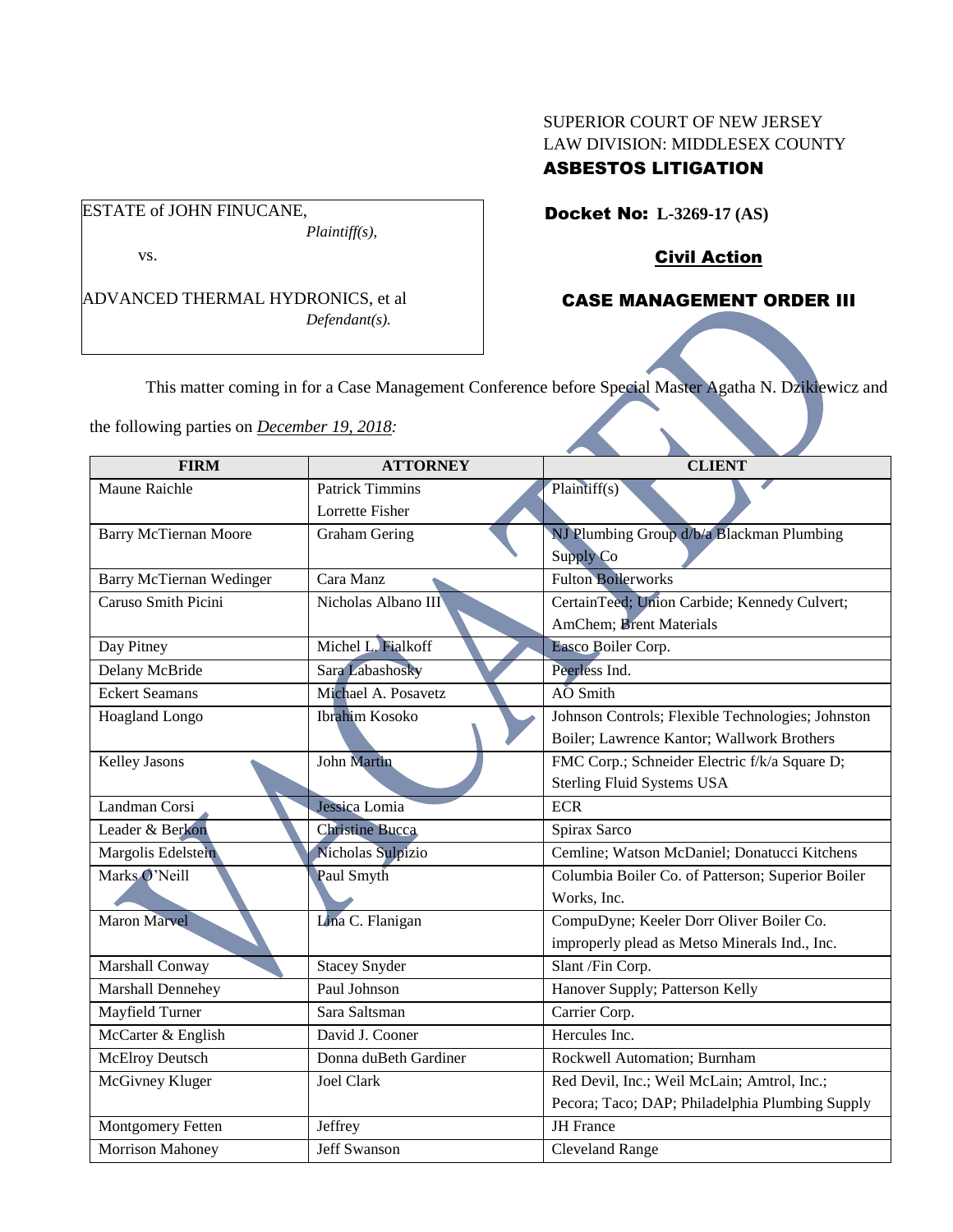### SUPERIOR COURT OF NEW JERSEY LAW DIVISION: MIDDLESEX COUNTY ASBESTOS LITIGATION

Docket No: **L-3269-17 (AS)** 

Civil Action

# CASE MANAGEMENT ORDER III

This matter coming in for a Case Management Conference before Special Master Agatha N. Dzikiewicz and

the following parties on *December 19, 2018:*

ADVANCED THERMAL HYDRONICS, et al

*Plaintiff(s),*

*Defendant(s).*

ESTATE of JOHN FINUCANE,

vs.

| <b>FIRM</b>                  | <b>ATTORNEY</b>        | <b>CLIENT</b>                                     |
|------------------------------|------------------------|---------------------------------------------------|
| Maune Raichle                | <b>Patrick Timmins</b> | Plaintiff(s)                                      |
|                              | Lorrette Fisher        |                                                   |
| <b>Barry McTiernan Moore</b> | <b>Graham Gering</b>   | NJ Plumbing Group d/b/a Blackman Plumbing         |
|                              |                        | <b>Supply Co</b>                                  |
| Barry McTiernan Wedinger     | Cara Manz              | <b>Fulton Boilerworks</b>                         |
| Caruso Smith Picini          | Nicholas Albano III    | CertainTeed; Union Carbide; Kennedy Culvert;      |
|                              |                        | <b>AmChem</b> ; Brent Materials                   |
| Day Pitney                   | Michel L. Fialkoff     | Easco Boiler Corp.                                |
| Delany McBride               | Sara Labashosky        | Peerless Ind.                                     |
| <b>Eckert Seamans</b>        | Michael A. Posavetz    | AO Smith                                          |
| <b>Hoagland Longo</b>        | <b>Ibrahim Kosoko</b>  | Johnson Controls; Flexible Technologies; Johnston |
|                              |                        | Boiler; Lawrence Kantor; Wallwork Brothers        |
| Kelley Jasons                | <b>John Martin</b>     | FMC Corp.; Schneider Electric f/k/a Square D;     |
|                              |                        | <b>Sterling Fluid Systems USA</b>                 |
| Landman Corsi                | Jessica Lomia          | <b>ECR</b>                                        |
| Leader & Berkon              | <b>Christine Bucca</b> | Spirax Sarco                                      |
| Margolis Edelstein           | Nicholas Sulpizio      | Cemline; Watson McDaniel; Donatucci Kitchens      |
| Marks O'Neill                | Paul Smyth             | Columbia Boiler Co. of Patterson; Superior Boiler |
|                              |                        | Works, Inc.                                       |
| <b>Maron Marvel</b>          | Lina C. Flanigan       | CompuDyne; Keeler Dorr Oliver Boiler Co.          |
|                              |                        | improperly plead as Metso Minerals Ind., Inc.     |
| Marshall Conway              | <b>Stacey Snyder</b>   | Slant /Fin Corp.                                  |
| Marshall Dennehey            | Paul Johnson           | Hanover Supply; Patterson Kelly                   |
| Mayfield Turner              | Sara Saltsman          | Carrier Corp.                                     |
| McCarter & English           | David J. Cooner        | Hercules Inc.                                     |
| <b>McElroy Deutsch</b>       | Donna duBeth Gardiner  | Rockwell Automation; Burnham                      |
| McGivney Kluger              | <b>Joel Clark</b>      | Red Devil, Inc.; Weil McLain; Amtrol, Inc.;       |
|                              |                        | Pecora; Taco; DAP; Philadelphia Plumbing Supply   |
| Montgomery Fetten            | Jeffrey                | <b>JH</b> France                                  |
| Morrison Mahoney             | <b>Jeff Swanson</b>    | <b>Cleveland Range</b>                            |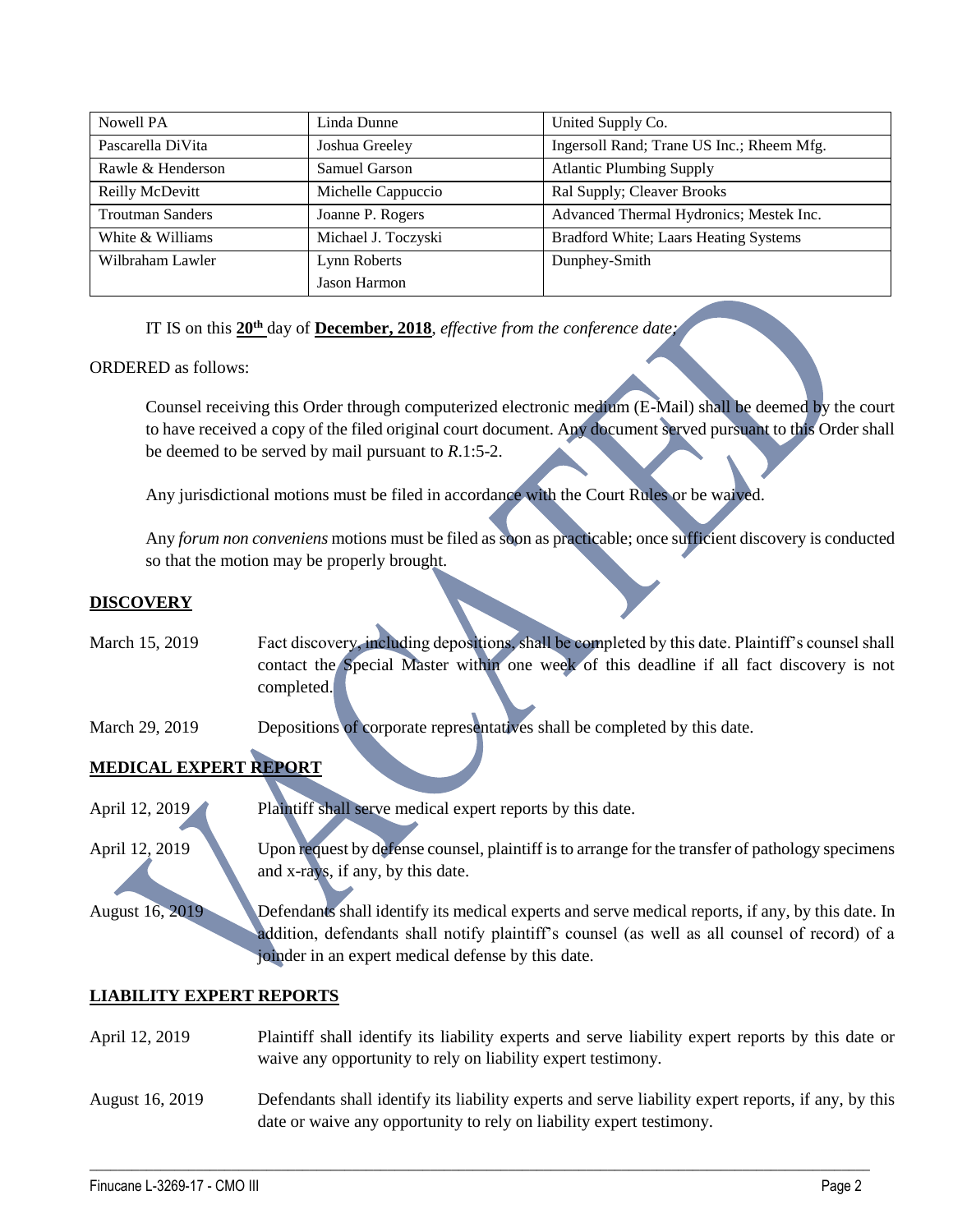| Nowell PA               | Linda Dunne         | United Supply Co.                         |
|-------------------------|---------------------|-------------------------------------------|
| Pascarella DiVita       | Joshua Greeley      | Ingersoll Rand; Trane US Inc.; Rheem Mfg. |
| Rawle & Henderson       | Samuel Garson       | <b>Atlantic Plumbing Supply</b>           |
| Reilly McDevitt         | Michelle Cappuccio  | Ral Supply; Cleaver Brooks                |
| <b>Troutman Sanders</b> | Joanne P. Rogers    | Advanced Thermal Hydronics; Mestek Inc.   |
| White & Williams        | Michael J. Toczyski | Bradford White; Laars Heating Systems     |
| Wilbraham Lawler        | Lynn Roberts        | Dunphey-Smith                             |
|                         | Jason Harmon        |                                           |

IT IS on this **20th** day of **December, 2018**, *effective from the conference date;*

### ORDERED as follows:

Counsel receiving this Order through computerized electronic medium (E-Mail) shall be deemed by the court to have received a copy of the filed original court document. Any document served pursuant to this Order shall be deemed to be served by mail pursuant to *R*.1:5-2.

Any jurisdictional motions must be filed in accordance with the Court Rules or be waived.

Any *forum non conveniens* motions must be filed as soon as practicable; once sufficient discovery is conducted so that the motion may be properly brought.

### **DISCOVERY**

- March 15, 2019 Fact discovery, including depositions, shall be completed by this date. Plaintiff's counsel shall contact the Special Master within one week of this deadline if all fact discovery is not completed.
- March 29, 2019 Depositions of corporate representatives shall be completed by this date.

# **MEDICAL EXPERT REPORT**

- April 12, 2019 Plaintiff shall serve medical expert reports by this date.
- April 12, 2019 Upon request by defense counsel, plaintiff is to arrange for the transfer of pathology specimens and x-rays, if any, by this date.
- August 16, 2019 Defendants shall identify its medical experts and serve medical reports, if any, by this date. In addition, defendants shall notify plaintiff's counsel (as well as all counsel of record) of a joinder in an expert medical defense by this date.

### **LIABILITY EXPERT REPORTS**

| April 12, 2019  | Plaintiff shall identify its liability experts and serve liability expert reports by this date or<br>waive any opportunity to rely on liability expert testimony.           |
|-----------------|-----------------------------------------------------------------------------------------------------------------------------------------------------------------------------|
| August 16, 2019 | Defendants shall identify its liability experts and serve liability expert reports, if any, by this<br>date or waive any opportunity to rely on liability expert testimony. |

 $\_$  , and the set of the set of the set of the set of the set of the set of the set of the set of the set of the set of the set of the set of the set of the set of the set of the set of the set of the set of the set of th